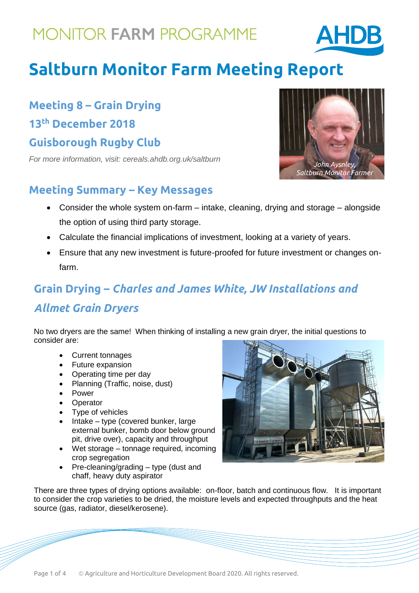

# **Saltburn Monitor Farm Meeting Report**

**Meeting 8 – Grain Drying 13th December 2018 Guisborough Rugby Club**

*For more information, visit: cereals.ahdb.org.uk/saltburn*

### **Meeting Summary – Key Messages**

- Consider the whole system on-farm intake, cleaning, drying and storage alongside the option of using third party storage.
- Calculate the financial implications of investment, looking at a variety of years.
- Ensure that any new investment is future-proofed for future investment or changes onfarm.

## **Grain Drying –** *Charles and James White, JW Installations and Allmet Grain Dryers*

No two dryers are the same! When thinking of installing a new grain dryer, the initial questions to consider are:

- Current tonnages
- Future expansion
- Operating time per day
- Planning (Traffic, noise, dust)
- Power
- **Derator**
- Type of vehicles
- Intake type (covered bunker, large external bunker, bomb door below ground pit, drive over), capacity and throughput
- Wet storage tonnage required, incoming crop segregation
- Pre-cleaning/grading type (dust and chaff, heavy duty aspirator



There are three types of drying options available: on-floor, batch and continuous flow. It is important to consider the crop varieties to be dried, the moisture levels and expected throughputs and the heat source (gas, radiator, diesel/kerosene).

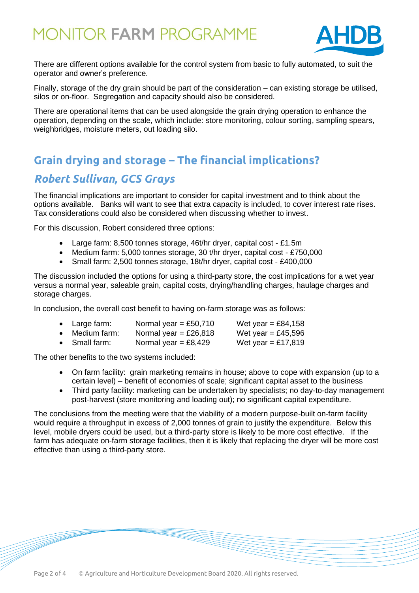

There are different options available for the control system from basic to fully automated, to suit the operator and owner's preference.

Finally, storage of the dry grain should be part of the consideration – can existing storage be utilised, silos or on-floor. Segregation and capacity should also be considered.

There are operational items that can be used alongside the grain drying operation to enhance the operation, depending on the scale, which include: store monitoring, colour sorting, sampling spears, weighbridges, moisture meters, out loading silo.

### **Grain drying and storage – The financial implications?**

### *Robert Sullivan, GCS Grays*

The financial implications are important to consider for capital investment and to think about the options available. Banks will want to see that extra capacity is included, to cover interest rate rises. Tax considerations could also be considered when discussing whether to invest.

For this discussion, Robert considered three options:

- Large farm: 8,500 tonnes storage, 46t/hr dryer, capital cost £1.5m
- Medium farm: 5,000 tonnes storage, 30 t/hr dryer, capital cost £750,000
- Small farm: 2,500 tonnes storage, 18t/hr dryer, capital cost £400,000

The discussion included the options for using a third-party store, the cost implications for a wet year versus a normal year, saleable grain, capital costs, drying/handling charges, haulage charges and storage charges.

In conclusion, the overall cost benefit to having on-farm storage was as follows:

| Large farm: | Normal year = £50,710       | Wet year = £84,158                              |
|-------------|-----------------------------|-------------------------------------------------|
|             | $\sim$ $\sim$ $\sim$ $\sim$ | $\mathbf{A} \mathbf{B} = \mathbf{A} \mathbf{A}$ |

- Medium farm: Normal year =  $£26,818$  Wet year = £45,596
- Small farm: Normal year =  $£8,429$  Wet year = £17,819

The other benefits to the two systems included:

- On farm facility: grain marketing remains in house; above to cope with expansion (up to a certain level) – benefit of economies of scale; significant capital asset to the business
- Third party facility: marketing can be undertaken by specialists; no day-to-day management post-harvest (store monitoring and loading out); no significant capital expenditure.

The conclusions from the meeting were that the viability of a modern purpose-built on-farm facility would require a throughput in excess of 2,000 tonnes of grain to justify the expenditure. Below this level, mobile dryers could be used, but a third-party store is likely to be more cost effective. If the farm has adequate on-farm storage facilities, then it is likely that replacing the dryer will be more cost effective than using a third-party store.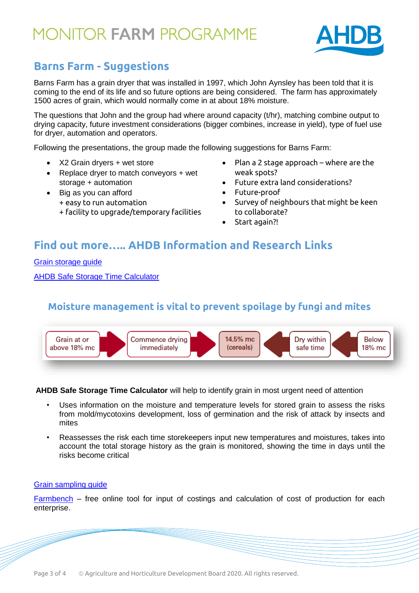

### **Barns Farm - Suggestions financial**

Barns Farm has a grain dryer that was installed in 1997, which John Aynsley has been told that it is coming to the end of its life and so future options are being considered. The farm has approximately 1500 acres of grain, which would normally come in at about 18% moisture.

The questions that John and the group had where around capacity (t/hr), matching combine output to drying capacity, future investment considerations (bigger combines, increase in yield), type of fuel use for dryer, automation and operators.

Following the presentations, the group made the following suggestions for Barns Farm:

- X2 Grain dryers + wet store
- Replace dryer to match conveyors + wet storage + automation
- Big as you can afford
	- + easy to run automation
	- + facility to upgrade/temporary facilities
- Plan a 2 stage approach where are the weak spots?
- Future extra land considerations?
- Future-proof
- Survey of neighbours that might be keen to collaborate?
- Start again?!

### **Find out more….. AHDB Information and Research Links**

[Grain storage guide](https://ahdb.org.uk/knowledge-library/grain-storage-guide)

[AHDB Safe Storage Time Calculator](https://cereals.ahdb.org.uk/tools/safe-storage-time-calculator.aspx)

#### **Moisture management is vital to prevent spoilage by fungi and mites**



**AHDB Safe Storage Time Calculator** will help to identify grain in most urgent need of attention

- Uses information on the moisture and temperature levels for stored grain to assess the risks from mold/mycotoxins development, loss of germination and the risk of attack by insects and mites
- Reassesses the risk each time storekeepers input new temperatures and moistures, takes into account the total storage history as the grain is monitored, showing the time in days until the risks become critical

#### [Grain sampling guide](https://ahdb.org.uk/knowledge-library/grain-sampling-guide)

[Farmbench](https://ahdbonline-my.sharepoint.com/personal/teresa_meadows_ahdb_org_uk/Documents/Documents/Monitor%20Farms/John%20Aynsley,%20Saltburn/1.%20Farm%20Walk%20and%20First%20Year%20Review%20-%2008.11.18/ahdb.org.uk/farmbench) – free online tool for input of costings and calculation of cost of production for each enterprise.